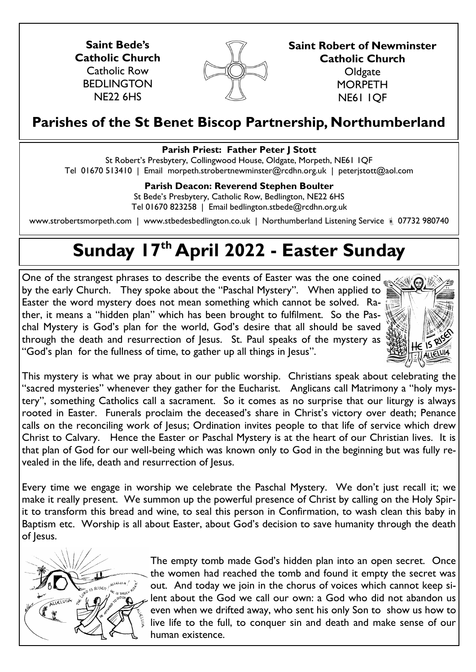**Saint Bede's Catholic Church** Catholic Row BEDLINGTON NE22 6HS



**Saint Robert of Newminster Catholic Church Oldgate MORPETH** NE61 1QF

## **Parishes of the St Benet Biscop Partnership, Northumberland**

## **Parish Priest: Father Peter J Stott**

St Robert's Presbytery, Collingwood House, Oldgate, Morpeth, NE61 1QF Tel 01670 513410 | Email morpeth.strobertnewminster@rcdhn.org.uk | peterjstott@aol.com

## **Parish Deacon: Reverend Stephen Boulter**

St Bede's Presbytery, Catholic Row, Bedlington, NE22 6HS Tel 01670 823258 | Email bedlington.stbede@rcdhn.org.uk

www.strobertsmorpeth.com | www.stbedesbedlington.co.uk | Northumberland Listening Service | 07732 980740

## **Sunday 17th April 2022 - Easter Sunday**

One of the strangest phrases to describe the events of Easter was the one coined by the early Church. They spoke about the "Paschal Mystery". When applied to Easter the word mystery does not mean something which cannot be solved. Rather, it means a "hidden plan" which has been brought to fulfilment. So the Paschal Mystery is God's plan for the world, God's desire that all should be saved through the death and resurrection of Jesus. St. Paul speaks of the mystery as "God's plan for the fullness of time, to gather up all things in Jesus".



This mystery is what we pray about in our public worship. Christians speak about celebrating the "sacred mysteries" whenever they gather for the Eucharist. Anglicans call Matrimony a "holy mystery", something Catholics call a sacrament. So it comes as no surprise that our liturgy is always rooted in Easter. Funerals proclaim the deceased's share in Christ's victory over death; Penance calls on the reconciling work of Jesus; Ordination invites people to that life of service which drew Christ to Calvary. Hence the Easter or Paschal Mystery is at the heart of our Christian lives. It is that plan of God for our well-being which was known only to God in the beginning but was fully revealed in the life, death and resurrection of Jesus.

Every time we engage in worship we celebrate the Paschal Mystery. We don't just recall it; we make it really present. We summon up the powerful presence of Christ by calling on the Holy Spirit to transform this bread and wine, to seal this person in Confirmation, to wash clean this baby in Baptism etc. Worship is all about Easter, about God's decision to save humanity through the death of Jesus.



The empty tomb made God's hidden plan into an open secret. Once the women had reached the tomb and found it empty the secret was out. And today we join in the chorus of voices which cannot keep silent about the God we call our own: a God who did not abandon us even when we drifted away, who sent his only Son to show us how to live life to the full, to conquer sin and death and make sense of our human existence.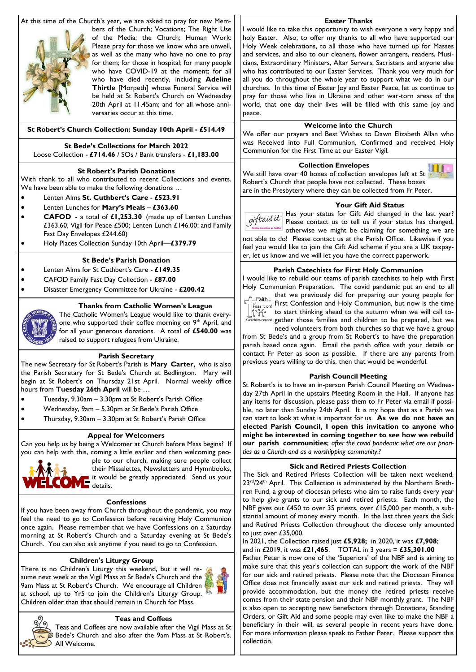At this time of the Church's year, we are asked to pray for new Mem-



bers of the Church; Vocations; The Right Use of the Media; the Church; Human Work: Please pray for those we know who are unwell, as well as the many who have no one to pray for them; for those in hospital; for many people who have COVID-19 at the moment; for all who have died recently, including **Adeline Thirtle** [Morpeth] whose Funeral Service will be held at St Robert's Church on Wednesday 20th April at 11.45am; and for all whose anniversaries occur at this time.

#### **St Robert's Church Collection: Sunday 10th April - £514.49**

#### **St Bede's Collections for March 2022** Loose Collection - **£714.46** / SOs / Bank transfers - **£1,183.00**

#### **St Robert's Parish Donations**

With thank to all who contributed to recent Collections and events. We have been able to make the following donations …

- Lenten Alms **St. Cuthbert's Care £523.91**
- Lenten Lunches for **Mary's Meals £363.60**
- **CAFOD**  a total of **£1,253.30** (made up of Lenten Lunches £363.60, Vigil for Peace £500; Lenten Lunch £146.00; and Family Fast Day Envelopes £244.60)
- Holy Places Collection Sunday 10th April—**£379.79**

#### **St Bede's Parish Donation**

- Lenten Alms for St Cuthbert's Care **£149.35**
- CAFOD Family Fast Day Collection **£87.00**
- Disaster Emergency Committee for Ukraine **£200.42**

#### **Thanks from Catholic Women's League**

The Catholic Women's League would like to thank everyone who supported their coffee morning on 9<sup>th</sup> April, and for all your generous donations. A total of **£540.00** was raised to support refugees from Ukraine.

#### **Parish Secretary**

The new Secretary for St Robert's Parish is **Mary Carter,** who is also the Parish Secretary for St Bede's Church at Bedlington. Mary will begin at St Robert's on Thursday 21st April. Normal weekly office hours from **Tuesday 26th April** will be …

- Tuesday, 9.30am 3.30pm at St Robert's Parish Office
- Wednesday, 9am 5.30pm at St Bede's Parish Office
- Thursday, 9.30am 3.30pm at St Robert's Parish Office

#### **Appeal for Welcomers**

Can you help us by being a Welcomer at Church before Mass begins? If you can help with this, coming a little earlier and then welcoming peo-

ple to our church, making sure people collect<br>their Missalettes, Newsletters and Hymnbooks, their Missalettes, Newsletters and Hymnbooks, it would be greatly appreciated. Send us your details.

#### **Confessions**

If you have been away from Church throughout the pandemic, you may feel the need to go to Confession before receiving Holy Communion once again. Please remember that we have Confessions on a Saturday morning at St Robert's Church and a Saturday evening at St Bede's Church. You can also ask anytime if you need to go to Confession.

#### **Children's Liturgy Group**

There is no Children's Liturgy this weekend, but it will resume next week at the Vigil Mass at St Bede's Church and the 9am Mass at St Robert's Church. We encourage all Children at school, up to Yr5 to join the Children's Liturgy Group. Children older than that should remain in Church for Mass.



### **Easter Thanks**

I would like to take this opportunity to wish everyone a very happy and holy Easter. Also, to offer my thanks to all who have supported our Holy Week celebrations, to all those who have turned up for Masses and services, and also to our cleaners, flower arrangers, readers, Musicians, Extraordinary Ministers, Altar Servers, Sacristans and anyone else who has contributed to our Easter Services. Thank you very much for all you do throughout the whole year to support what we do in our churches. In this time of Easter Joy and Easter Peace, let us continue to pray for those who live in Ukraine and other war-torn areas of the world, that one day their lives will be filled with this same joy and peace.

#### **Welcome into the Church**

We offer our prayers and Best Wishes to Dawn Elizabeth Allan who was Received into Full Communion, Confirmed and received Holy Communion for the First Time at our Easter Vigil.

#### **Collection Envelopes**

We still have over 40 boxes of collection envelopes left at St Robert's Church that people have not collected. These boxes are in the Presbytery where they can be collected from Fr Peter.

#### **Your Gift Aid Status**

Has your status for Gift Aid changed in the last year? Please contact us to tell us if your status has changed, otherwise we might be claiming for something we are not able to do! Please contact us at the Parish Office. Likewise if you feel you would like to join the Gift Aid scheme if you are a UK taxpayer, let us know and we will let you have the correct paperwork.

#### **Parish Catechists for First Holy Communion**

I would like to rebuild our teams of parish catechists to help with First Holy Communion Preparation. The covid pandemic put an end to all



that we previously did for preparing our young people for First Confession and Holy Communion, but now is the time  $\left|\frac{1}{11111}\right|$  to start thinking ahead to the autumn when we will call tonledded gether those families and children to be prepared, but we

need volunteers from both churches so that we have a group from St Bede's and a group from St Robert's to have the preparation parish based once again. Email the parish office with your details or contact Fr Peter as soon as possible. If there are any parents from previous years willing to do this, then that would be wonderful.

#### **Parish Council Meeting**

St Robert's is to have an in-person Parish Council Meeting on Wednesday 27th April in the upstairs Meeting Room in the Hall. If anyone has any items for discussion, please pass them to Fr Peter via email if possible, no later than Sunday 24th April. It is my hope that as a Parish we can start to look at what is important for us. **As we do not have an elected Parish Council, I open this invitation to anyone who might be interested in coming together to see how we rebuild our parish communities**; *after the covid pandemic what are our priorities as a Church and as a worshipping community*.?

#### **Sick and Retired Priests Collection**

The Sick and Retired Priests Collection will be taken next weekend, 23<sup>rd</sup>/24<sup>th</sup> April. This Collection is administered by the Northern Brethren Fund, a group of diocesan priests who aim to raise funds every year to help give grants to our sick and retired priests. Each month, the NBF gives out £450 to over 35 priests, over £15,000 per month, a substantial amount of money every month. In the last three years the Sick and Retired Priests Collection throughout the diocese only amounted to just over £35,000.

In 2021, the Collection raised just **£5,928;** in 2020, it was **£7,908**; and in £2019, it was **£21,465**. TOTAL in 3 years = **£35,301.00** 

Father Peter is now one of the 'Superiors' of the NBF and is aiming to make sure that this year's collection can support the work of the NBF for our sick and retired priests. Please note that the Diocesan Finance

Office does not financially assist our sick and retired priests. They will provide accommodation, but the money the retired priests receive comes from their state pension and their NBF monthly grant. The NBF is also open to accepting new benefactors through Donations, Standing Orders, or Gift Aid and some people may even like to make the NBF a beneficiary in their will, as several people in recent years have done. For more information please speak to Father Peter. Please support this collection.



**Teas and Coffees**

Teas and Coffees are now available after the Vigil Mass at St  $\widehat{\mathcal{D}}$  Bede's Church and also after the 9am Mass at St Robert's.

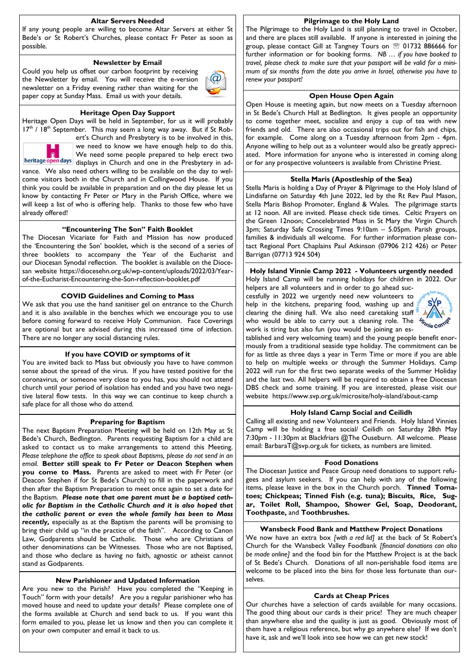#### **Altar Servers Needed**

If any young people are willing to become Altar Servers at either St Bede's or St Robert's Churches, please contact Fr Peter as soon as possible.

#### **Newsletter by Email**

Could you help us offset our carbon footprint by receiving the Newsletter by email. You will receive the e-version newsletter on a Friday evening rather than waiting for the paper copy at Sunday Mass. Email us with your details.



#### **Heritage Open Day Support**

Heritage Open Days will be held in September, for us it will probably  $17<sup>th</sup>$  /  $18<sup>th</sup>$  September. This may seem a long way away. But if St Rob-



ert's Church and Presbytery is to be involved in this, we need to know we have enough help to do this. We need some people prepared to help erect two

heritage open days displays in Church and one in the Presbytery in advance. We also need others willing to be available on the day to welcome visitors both in the Church and in Collingwood House. If you think you could be available in preparation and on the day please let us know by contacting Fr Peter or Mary in the Parish Office, where we will keep a list of who is offering help. Thanks to those few who have already offered!

#### **"Encountering The Son" Faith Booklet**

The Diocesan Vicariate for Faith and Mission has now produced the 'Encountering the Son' booklet, which is the second of a series of three booklets to accompany the Year of the Eucharist and our Diocesan Synodal reflection. The booklet is available on the Diocesan website https://diocesehn.org.uk/wp-content/uploads/2022/03/Yearof-the-Eucharist-Encountering-the-Son-reflection-booklet.pdf

#### **COVID Guidelines and Coming to Mass**

We ask that you use the hand sanitiser gel on entrance to the Church and it is also available in the benches which we encourage you to use before coming forward to receive Holy Communion. Face Coverings are optional but are advised during this increased time of infection. There are no longer any social distancing rules.

#### **If you have COVID or symptoms of it**

You are invited back to Mass but obviously you have to have common sense about the spread of the virus. If you have tested positive for the coronavirus, or someone very close to you has, you should not attend church until your period of isolation has ended and you have two negative lateral flow tests. In this way we can continue to keep church a safe place for all those who do attend.

#### **Preparing for Baptism**

The next Baptism Preparation Meeting will be held on 12th May at St Bede's Church, Bedlington. Parents requesting Baptism for a child are asked to contact us to make arrangements to attend this Meeting. Please telephone the office to speak about Baptisms, please do not send in an *email.* **Better still speak to Fr Peter or Deacon Stephen when you come to Mass.** Parents are asked to meet with Fr Peter (or Deacon Stephen if for St Bede's Church) to fill in the paperwork and then after the Baptism Preparation to meet once again to set a date for the Baptism. *Please note that one parent must be a baptised catholic for Baptism in the Catholic Church and it is also hoped that the catholic parent or even the whole family has been to Mass recently,* especially as at the Baptism the parents will be promising to bring their child up "in the practice of the faith". According to Canon Law, Godparents should be Catholic. Those who are Christians of other denominations can be Witnesses. Those who are not Baptised, and those who declare as having no faith, agnostic or atheist cannot stand as Godparents.

#### **New Parishioner and Updated Information**

Are you new to the Parish? Have you completed the "Keeping in Touch" form with your details? Are you a regular parishioner who has moved house and need to update your details? Please complete one of the forms available at Church and send back to us. If you want this form emailed to you, please let us know and then you can complete it on your own computer and email it back to us.

#### **Pilgrimage to the Holy Land**

The Pilgrimage to the Holy Land is still planning to travel in October, and there are places still available. If anyone is interested in joining the group, please contact Gill at Tangney Tours on <sup>22</sup> 01732 886666 for further information or for booking forms. *NB … if you have booked to travel, please check to make sure that your passport will be valid for a minimum of six months from the date you arrive in Israel, otherwise you have to renew your passport!*

#### **Open House Open Again**

Open House is meeting again, but now meets on a Tuesday afternoon in St Bede's Church Hall at Bedlington. It gives people an opportunity to come together meet, socialize and enjoy a cup of tea with new friends and old. There are also occasional trips out for fish and chips, for example. Come along on a Tuesday afternoon from 2pm - 4pm. Anyone willing to help out as a volunteer would also be greatly appreciated. More information for anyone who is interested in coming along or for any prospective volunteers is available from Christine Priest.

#### **Stella Maris (Apostleship of the Sea)**

Stella Maris is holding a Day of Prayer & Pilgrimage to the Holy Island of Lindisfarne on Saturday 4th June 2022, led by the Rt Rev Paul Mason, Stella Maris Bishop Promoter, England & Wales. The pilgrimage starts at 12 noon. All are invited. Please check tide times. Celtic Prayers on the Green 12noon; Concelebrated Mass in St Mary the Virgin Church 3pm; Saturday Safe Crossing Times 9:10am – 5.05pm. Parish groups, families & individuals all welcome. For further information please contact Regional Port Chaplains Paul Atkinson (07906 212 426) or Peter Barrigan (07713 924 504)

**Holy Island Vinnie Camp 2022 - Volunteers urgently needed** Holy Island Camp will be running holidays for children in 2022. Our

helpers are all volunteers and in order to go ahead successfully in 2022 we urgently need new volunteers to help in the kitchens, preparing food, washing up and clearing the dining hall. We also need caretaking staff who would be able to carry out a cleaning role. The work is tiring but also fun (you would be joining an es-



tablished and very welcoming team) and the young people benefit enormously from a traditional seaside type holiday. The commitment can be for as little as three days a year in Term Time or more if you are able to help on multiple weeks or through the Summer Holidays. Camp 2022 will run for the first two separate weeks of the Summer Holiday and the last two. All helpers will be required to obtain a free Diocesan DBS check and some training. If you are interested, please visit our website https://www.svp.org.uk/microsite/holy-island/about-camp

#### **Holy Island Camp Social and Ceilidh**

Calling all existing and new Volunteers and Friends. Holy Island Vinnies Camp will be holding a free social/ Ceilidh on Saturday 28th May 7:30pm - 11:30pm at Blackfriars @The Ouseburn. All welcome. Please email: BarbaraT@svp.org.uk for tickets, as numbers are limited.

#### **Food Donations**

The Diocesan Justice and Peace Group need donations to support refugees and asylum seekers. If you can help with any of the following items, please leave in the box in the Church porch. **Tinned Tomatoes; Chickpeas; Tinned Fish (e.g. tuna); Biscuits, Rice, Sugar, Toilet Roll, Shampoo, Shower Gel, Soap, Deodorant, Toothpaste,** and **Toothbrushes.** 

#### **Wansbeck Food Bank and Matthew Project Donations**

We now have an extra box *[with a red lid]* at the back of St Robert's Church for the Wansbeck Valley Foodbank *[financial donations can also be made online]* and the food bin for the Matthew Project is at the back of St Bede's Church. Donations of all non-perishable food items are welcome to be placed into the bins for those less fortunate than ourselves.

#### **Cards at Cheap Prices**

Our churches have a selection of cards available for many occasions. The good thing about our cards is their price! They are much cheaper than anywhere else and the quality is just as good. Obviously most of them have a religious reference, but why go anywhere else? If we don't have it, ask and we'll look into see how we can get new stock!